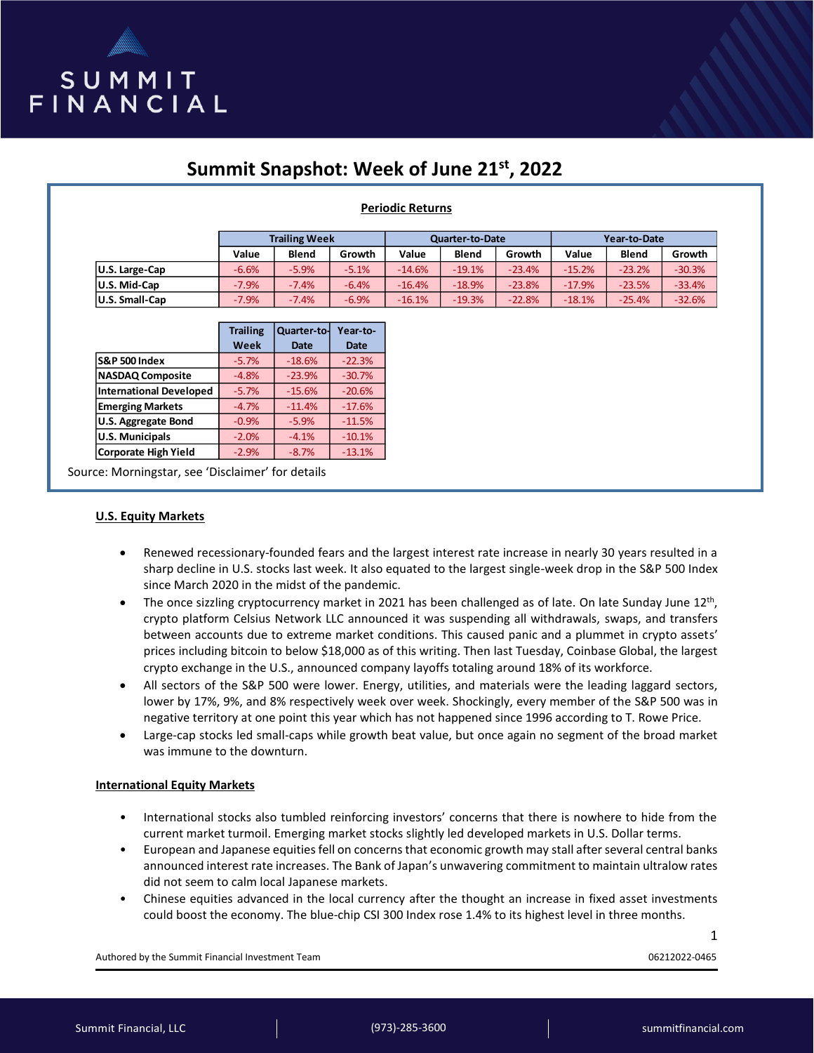

# **Summit Snapshot: Week of June 21 st, 2022**

# **Periodic Returns**

|                       | <b>Trailing Week</b> |              |         | <b>Quarter-to-Date</b> |              |          | Year-to-Date |              |          |
|-----------------------|----------------------|--------------|---------|------------------------|--------------|----------|--------------|--------------|----------|
|                       | Value                | <b>Blend</b> | Growth  | Value                  | <b>Blend</b> | Growth   | Value        | <b>Blend</b> | Growth   |
| U.S. Large-Cap        | $-6.6%$              | $-5.9%$      | $-5.1%$ | $-14.6%$               | $-19.1%$     | $-23.4%$ | $-15.2%$     | $-23.2%$     | $-30.3%$ |
| U.S. Mid-Cap          | $-7.9%$              | $-7.4%$      | $-6.4%$ | $-16.4%$               | $-18.9%$     | $-23.8%$ | $-17.9%$     | $-23.5%$     | $-33.4%$ |
| <b>U.S. Small-Cap</b> | $-7.9%$              | $-7.4%$      | $-6.9%$ | $-16.1%$               | $-19.3%$     | $-22.8%$ | $-18.1%$     | $-25.4%$     | $-32.6%$ |

|                                | <b>Trailing</b> | Quarter-to- | Year-to-    |
|--------------------------------|-----------------|-------------|-------------|
|                                | Week            | <b>Date</b> | <b>Date</b> |
| <b>S&amp;P 500 Index</b>       | $-5.7%$         | $-18.6%$    | $-22.3%$    |
| <b>NASDAQ Composite</b>        | $-4.8%$         | $-23.9%$    | $-30.7%$    |
| <b>International Developed</b> | $-5.7%$         | $-15.6%$    | $-20.6%$    |
| <b>Emerging Markets</b>        | $-4.7%$         | $-11.4%$    | $-17.6%$    |
| <b>U.S. Aggregate Bond</b>     | $-0.9%$         | $-5.9%$     | $-11.5%$    |
| <b>U.S. Municipals</b>         | $-2.0%$         | $-4.1%$     | $-10.1%$    |
| <b>Corporate High Yield</b>    | $-2.9%$         | $-8.7%$     | $-13.1%$    |

Source: Morningstar, see 'Disclaimer' for details

#### **U.S. Equity Markets**

- Renewed recessionary-founded fears and the largest interest rate increase in nearly 30 years resulted in a sharp decline in U.S. stocks last week. It also equated to the largest single-week drop in the S&P 500 Index since March 2020 in the midst of the pandemic.
- The once sizzling cryptocurrency market in 2021 has been challenged as of late. On late Sunday June 12<sup>th</sup>, crypto platform Celsius Network LLC announced it was suspending all withdrawals, swaps, and transfers between accounts due to extreme market conditions. This caused panic and a plummet in crypto assets' prices including bitcoin to below \$18,000 as of this writing. Then last Tuesday, Coinbase Global, the largest crypto exchange in the U.S., announced company layoffs totaling around 18% of its workforce.
- All sectors of the S&P 500 were lower. Energy, utilities, and materials were the leading laggard sectors, lower by 17%, 9%, and 8% respectively week over week. Shockingly, every member of the S&P 500 was in negative territory at one point this year which has not happened since 1996 according to T. Rowe Price.
- Large-cap stocks led small-caps while growth beat value, but once again no segment of the broad market was immune to the downturn.

#### **International Equity Markets**

- International stocks also tumbled reinforcing investors' concerns that there is nowhere to hide from the current market turmoil. Emerging market stocks slightly led developed markets in U.S. Dollar terms.
- European and Japanese equities fell on concerns that economic growth may stall after several central banks announced interest rate increases. The Bank of Japan's unwavering commitment to maintain ultralow rates did not seem to calm local Japanese markets.
- Chinese equities advanced in the local currency after the thought an increase in fixed asset investments could boost the economy. The blue-chip CSI 300 Index rose 1.4% to its highest level in three months.

Authored by the Summit Financial Investment Team 06212022-0465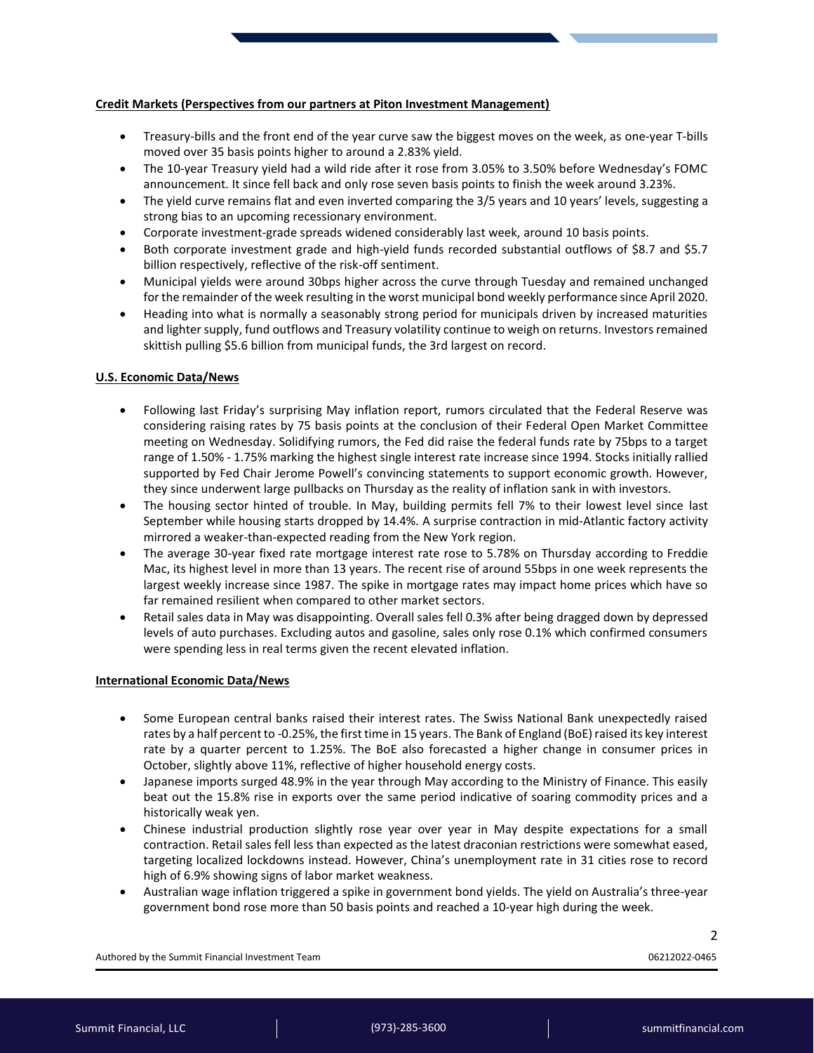### **Credit Markets (Perspectives from our partners at Piton Investment Management)**

- Treasury-bills and the front end of the year curve saw the biggest moves on the week, as one-year T-bills moved over 35 basis points higher to around a 2.83% yield.
- The 10-year Treasury yield had a wild ride after it rose from 3.05% to 3.50% before Wednesday's FOMC announcement. It since fell back and only rose seven basis points to finish the week around 3.23%.
- The yield curve remains flat and even inverted comparing the 3/5 years and 10 years' levels, suggesting a strong bias to an upcoming recessionary environment.
- Corporate investment-grade spreads widened considerably last week, around 10 basis points.
- Both corporate investment grade and high-yield funds recorded substantial outflows of \$8.7 and \$5.7 billion respectively, reflective of the risk-off sentiment.
- Municipal yields were around 30bps higher across the curve through Tuesday and remained unchanged for the remainder of the week resulting in the worst municipal bond weekly performance since April 2020.
- Heading into what is normally a seasonably strong period for municipals driven by increased maturities and lighter supply, fund outflows and Treasury volatility continue to weigh on returns. Investors remained skittish pulling \$5.6 billion from municipal funds, the 3rd largest on record.

#### **U.S. Economic Data/News**

- Following last Friday's surprising May inflation report, rumors circulated that the Federal Reserve was considering raising rates by 75 basis points at the conclusion of their Federal Open Market Committee meeting on Wednesday. Solidifying rumors, the Fed did raise the federal funds rate by 75bps to a target range of 1.50% - 1.75% marking the highest single interest rate increase since 1994. Stocks initially rallied supported by Fed Chair Jerome Powell's convincing statements to support economic growth. However, they since underwent large pullbacks on Thursday as the reality of inflation sank in with investors.
- The housing sector hinted of trouble. In May, building permits fell 7% to their lowest level since last September while housing starts dropped by 14.4%. A surprise contraction in mid-Atlantic factory activity mirrored a weaker-than-expected reading from the New York region.
- The average 30-year fixed rate mortgage interest rate rose to 5.78% on Thursday according to Freddie Mac, its highest level in more than 13 years. The recent rise of around 55bps in one week represents the largest weekly increase since 1987. The spike in mortgage rates may impact home prices which have so far remained resilient when compared to other market sectors.
- Retail sales data in May was disappointing. Overall sales fell 0.3% after being dragged down by depressed levels of auto purchases. Excluding autos and gasoline, sales only rose 0.1% which confirmed consumers were spending less in real terms given the recent elevated inflation.

#### **International Economic Data/News**

- Some European central banks raised their interest rates. The Swiss National Bank unexpectedly raised rates by a half percent to -0.25%, the first time in 15 years. The Bank of England (BoE) raised its key interest rate by a quarter percent to 1.25%. The BoE also forecasted a higher change in consumer prices in October, slightly above 11%, reflective of higher household energy costs.
- Japanese imports surged 48.9% in the year through May according to the Ministry of Finance. This easily beat out the 15.8% rise in exports over the same period indicative of soaring commodity prices and a historically weak yen.
- Chinese industrial production slightly rose year over year in May despite expectations for a small contraction. Retail sales fell less than expected as the latest draconian restrictions were somewhat eased, targeting localized lockdowns instead. However, China's unemployment rate in 31 cities rose to record high of 6.9% showing signs of labor market weakness.
- Australian wage inflation triggered a spike in government bond yields. The yield on Australia's three-year government bond rose more than 50 basis points and reached a 10-year high during the week.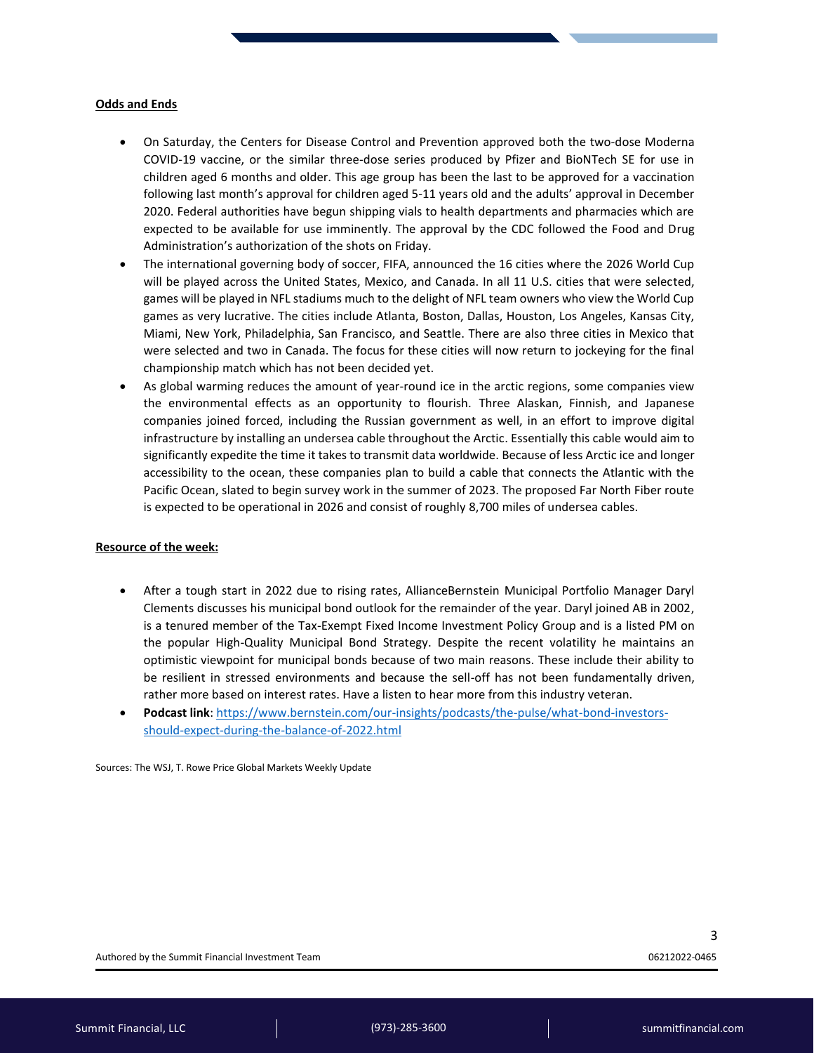#### **Odds and Ends**

- On Saturday, the Centers for Disease Control and Prevention approved both the two-dose Moderna COVID-19 vaccine, or the similar three-dose series produced by Pfizer and BioNTech SE for use in children aged 6 months and older. This age group has been the last to be approved for a vaccination following last month's approval for children aged 5-11 years old and the adults' approval in December 2020. Federal authorities have begun shipping vials to health departments and pharmacies which are expected to be available for use imminently. The approval by the CDC followed the Food and Drug Administration's authorization of the shots on Friday.
- The international governing body of soccer, FIFA, announced the 16 cities where the 2026 World Cup will be played across the United States, Mexico, and Canada. In all 11 U.S. cities that were selected, games will be played in NFL stadiums much to the delight of NFL team owners who view the World Cup games as very lucrative. The cities include Atlanta, Boston, Dallas, Houston, Los Angeles, Kansas City, Miami, New York, Philadelphia, San Francisco, and Seattle. There are also three cities in Mexico that were selected and two in Canada. The focus for these cities will now return to jockeying for the final championship match which has not been decided yet.
- As global warming reduces the amount of year-round ice in the arctic regions, some companies view the environmental effects as an opportunity to flourish. Three Alaskan, Finnish, and Japanese companies joined forced, including the Russian government as well, in an effort to improve digital infrastructure by installing an undersea cable throughout the Arctic. Essentially this cable would aim to significantly expedite the time it takes to transmit data worldwide. Because of less Arctic ice and longer accessibility to the ocean, these companies plan to build a cable that connects the Atlantic with the Pacific Ocean, slated to begin survey work in the summer of 2023. The proposed Far North Fiber route is expected to be operational in 2026 and consist of roughly 8,700 miles of undersea cables.

# **Resource of the week:**

- After a tough start in 2022 due to rising rates, AllianceBernstein Municipal Portfolio Manager Daryl Clements discusses his municipal bond outlook for the remainder of the year. Daryl joined AB in 2002, is a tenured member of the Tax-Exempt Fixed Income Investment Policy Group and is a listed PM on the popular High-Quality Municipal Bond Strategy. Despite the recent volatility he maintains an optimistic viewpoint for municipal bonds because of two main reasons. These include their ability to be resilient in stressed environments and because the sell-off has not been fundamentally driven, rather more based on interest rates. Have a listen to hear more from this industry veteran.
- **Podcast link**: [https://www.bernstein.com/our-insights/podcasts/the-pulse/what-bond-investors](https://www.bernstein.com/our-insights/podcasts/the-pulse/what-bond-investors-should-expect-during-the-balance-of-2022.html)[should-expect-during-the-balance-of-2022.html](https://www.bernstein.com/our-insights/podcasts/the-pulse/what-bond-investors-should-expect-during-the-balance-of-2022.html)

Sources: The WSJ, T. Rowe Price Global Markets Weekly Update